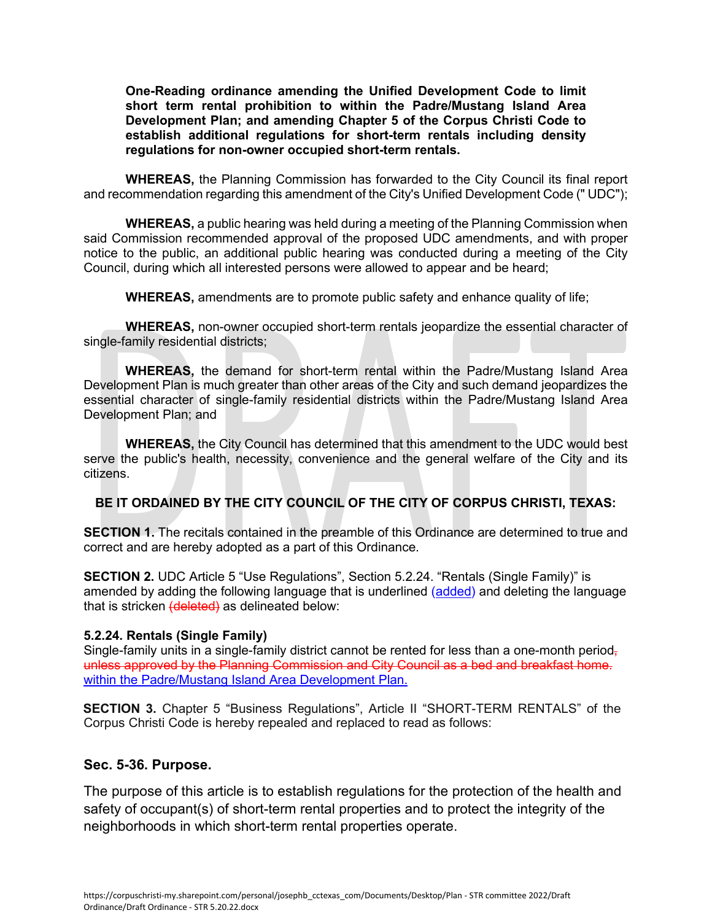**One-Reading ordinance amending the Unified Development Code to limit short term rental prohibition to within the Padre/Mustang Island Area Development Plan; and amending Chapter 5 of the Corpus Christi Code to establish additional regulations for short-term rentals including density regulations for non-owner occupied short-term rentals.** 

**WHEREAS,** the Planning Commission has forwarded to the City Council its final report and recommendation regarding this amendment of the City's Unified Development Code (" UDC");

**WHEREAS,** a public hearing was held during a meeting of the Planning Commission when said Commission recommended approval of the proposed UDC amendments, and with proper notice to the public, an additional public hearing was conducted during a meeting of the City Council, during which all interested persons were allowed to appear and be heard;

**WHEREAS,** amendments are to promote public safety and enhance quality of life;

**WHEREAS,** non-owner occupied short-term rentals jeopardize the essential character of single-family residential districts;

**WHEREAS,** the demand for short-term rental within the Padre/Mustang Island Area Development Plan is much greater than other areas of the City and such demand jeopardizes the essential character of single-family residential districts within the Padre/Mustang Island Area Development Plan; and

**WHEREAS,** the City Council has determined that this amendment to the UDC would best serve the public's health, necessity, convenience and the general welfare of the City and its citizens.

#### **BE IT ORDAINED BY THE CITY COUNCIL OF THE CITY OF CORPUS CHRISTI, TEXAS:**

**SECTION 1.** The recitals contained in the preamble of this Ordinance are determined to true and correct and are hereby adopted as a part of this Ordinance.

**SECTION 2.** UDC Article 5 "Use Regulations", Section 5.2.24. "Rentals (Single Family)" is amended by adding the following language that is underlined (added) and deleting the language that is stricken (deleted) as delineated below:

#### **5.2.24. Rentals (Single Family)**

Single-family units in a single-family district cannot be rented for less than a one-month period, unless approved by the Planning Commission and City Council as a bed and breakfast home. within the Padre/Mustang Island Area Development Plan.

**SECTION 3.** Chapter 5 "Business Regulations", Article II "SHORT-TERM RENTALS" of the Corpus Christi Code is hereby repealed and replaced to read as follows:

#### **Sec. 5-36. Purpose.**

The purpose of this article is to establish regulations for the protection of the health and safety of occupant(s) of short-term rental properties and to protect the integrity of the neighborhoods in which short-term rental properties operate.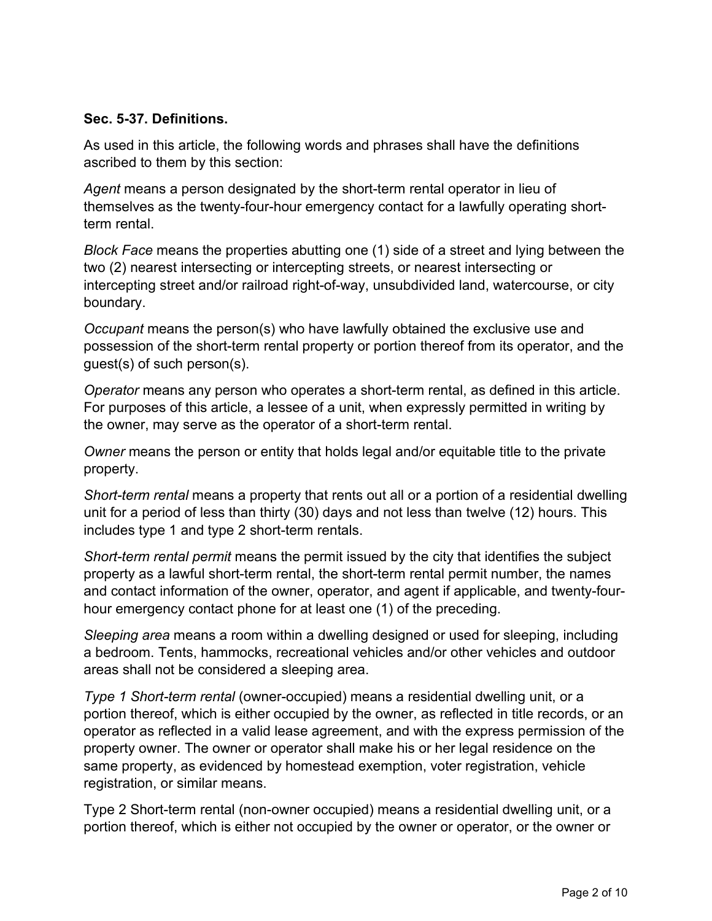#### **Sec. 5-37. Definitions.**

As used in this article, the following words and phrases shall have the definitions ascribed to them by this section:

*Agent* means a person designated by the short-term rental operator in lieu of themselves as the twenty-four-hour emergency contact for a lawfully operating shortterm rental.

*Block Face* means the properties abutting one (1) side of a street and lying between the two (2) nearest intersecting or intercepting streets, or nearest intersecting or intercepting street and/or railroad right-of-way, unsubdivided land, watercourse, or city boundary.

*Occupant* means the person(s) who have lawfully obtained the exclusive use and possession of the short-term rental property or portion thereof from its operator, and the guest(s) of such person(s).

*Operator* means any person who operates a short-term rental, as defined in this article. For purposes of this article, a lessee of a unit, when expressly permitted in writing by the owner, may serve as the operator of a short-term rental.

*Owner* means the person or entity that holds legal and/or equitable title to the private property.

*Short-term rental* means a property that rents out all or a portion of a residential dwelling unit for a period of less than thirty (30) days and not less than twelve (12) hours. This includes type 1 and type 2 short-term rentals.

*Short-term rental permit* means the permit issued by the city that identifies the subject property as a lawful short-term rental, the short-term rental permit number, the names and contact information of the owner, operator, and agent if applicable, and twenty-fourhour emergency contact phone for at least one (1) of the preceding.

*Sleeping area* means a room within a dwelling designed or used for sleeping, including a bedroom. Tents, hammocks, recreational vehicles and/or other vehicles and outdoor areas shall not be considered a sleeping area.

*Type 1 Short-term rental* (owner-occupied) means a residential dwelling unit, or a portion thereof, which is either occupied by the owner, as reflected in title records, or an operator as reflected in a valid lease agreement, and with the express permission of the property owner. The owner or operator shall make his or her legal residence on the same property, as evidenced by homestead exemption, voter registration, vehicle registration, or similar means.

Type 2 Short-term rental (non-owner occupied) means a residential dwelling unit, or a portion thereof, which is either not occupied by the owner or operator, or the owner or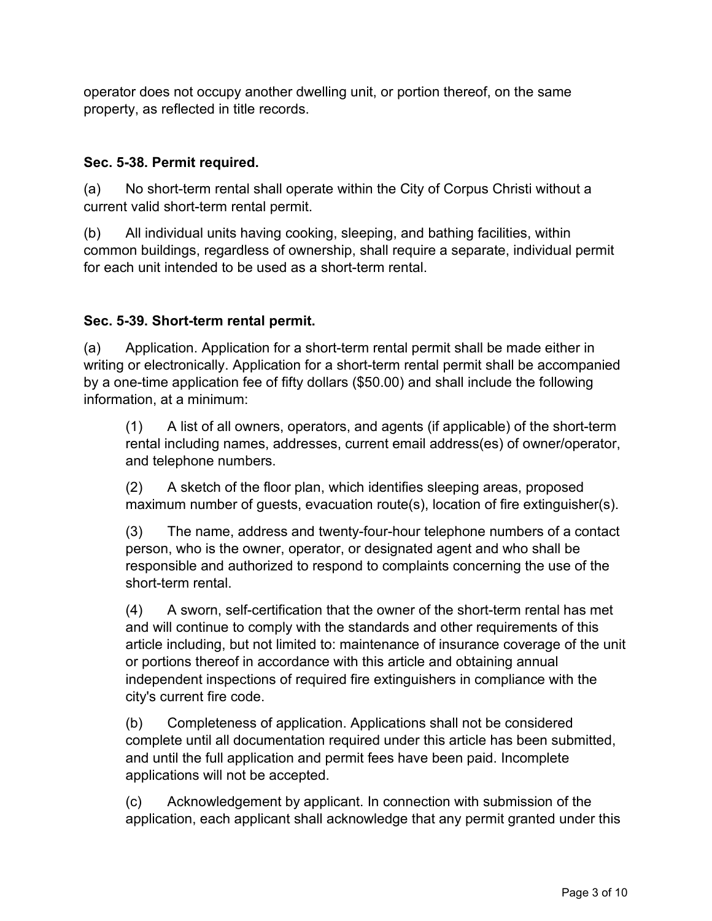operator does not occupy another dwelling unit, or portion thereof, on the same property, as reflected in title records.

# **Sec. 5-38. Permit required.**

(a) No short-term rental shall operate within the City of Corpus Christi without a current valid short-term rental permit.

(b) All individual units having cooking, sleeping, and bathing facilities, within common buildings, regardless of ownership, shall require a separate, individual permit for each unit intended to be used as a short-term rental

# **Sec. 5-39. Short-term rental permit.**

(a) Application. Application for a short-term rental permit shall be made either in writing or electronically. Application for a short-term rental permit shall be accompanied by a one-time application fee of fifty dollars (\$50.00) and shall include the following information, at a minimum:

(1) A list of all owners, operators, and agents (if applicable) of the short-term rental including names, addresses, current email address(es) of owner/operator, and telephone numbers.

(2) A sketch of the floor plan, which identifies sleeping areas, proposed maximum number of guests, evacuation route(s), location of fire extinguisher(s).

(3) The name, address and twenty-four-hour telephone numbers of a contact person, who is the owner, operator, or designated agent and who shall be responsible and authorized to respond to complaints concerning the use of the short-term rental.

(4) A sworn, self-certification that the owner of the short-term rental has met and will continue to comply with the standards and other requirements of this article including, but not limited to: maintenance of insurance coverage of the unit or portions thereof in accordance with this article and obtaining annual independent inspections of required fire extinguishers in compliance with the city's current fire code.

(b) Completeness of application. Applications shall not be considered complete until all documentation required under this article has been submitted, and until the full application and permit fees have been paid. Incomplete applications will not be accepted.

(c) Acknowledgement by applicant. In connection with submission of the application, each applicant shall acknowledge that any permit granted under this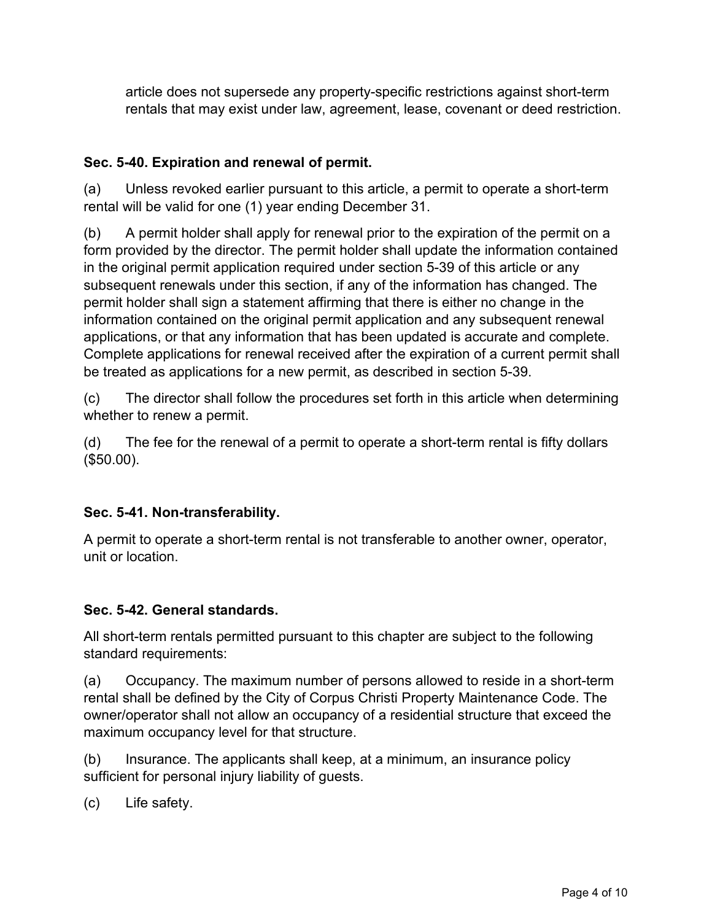article does not supersede any property-specific restrictions against short-term rentals that may exist under law, agreement, lease, covenant or deed restriction.

# **Sec. 5-40. Expiration and renewal of permit.**

(a) Unless revoked earlier pursuant to this article, a permit to operate a short-term rental will be valid for one (1) year ending December 31.

(b) A permit holder shall apply for renewal prior to the expiration of the permit on a form provided by the director. The permit holder shall update the information contained in the original permit application required under section 5-39 of this article or any subsequent renewals under this section, if any of the information has changed. The permit holder shall sign a statement affirming that there is either no change in the information contained on the original permit application and any subsequent renewal applications, or that any information that has been updated is accurate and complete. Complete applications for renewal received after the expiration of a current permit shall be treated as applications for a new permit, as described in section 5-39.

(c) The director shall follow the procedures set forth in this article when determining whether to renew a permit.

(d) The fee for the renewal of a permit to operate a short-term rental is fifty dollars (\$50.00).

# **Sec. 5-41. Non-transferability.**

A permit to operate a short-term rental is not transferable to another owner, operator, unit or location.

## **Sec. 5-42. General standards.**

All short-term rentals permitted pursuant to this chapter are subject to the following standard requirements:

(a) Occupancy. The maximum number of persons allowed to reside in a short-term rental shall be defined by the City of Corpus Christi Property Maintenance Code. The owner/operator shall not allow an occupancy of a residential structure that exceed the maximum occupancy level for that structure.

(b) Insurance. The applicants shall keep, at a minimum, an insurance policy sufficient for personal injury liability of guests.

(c) Life safety.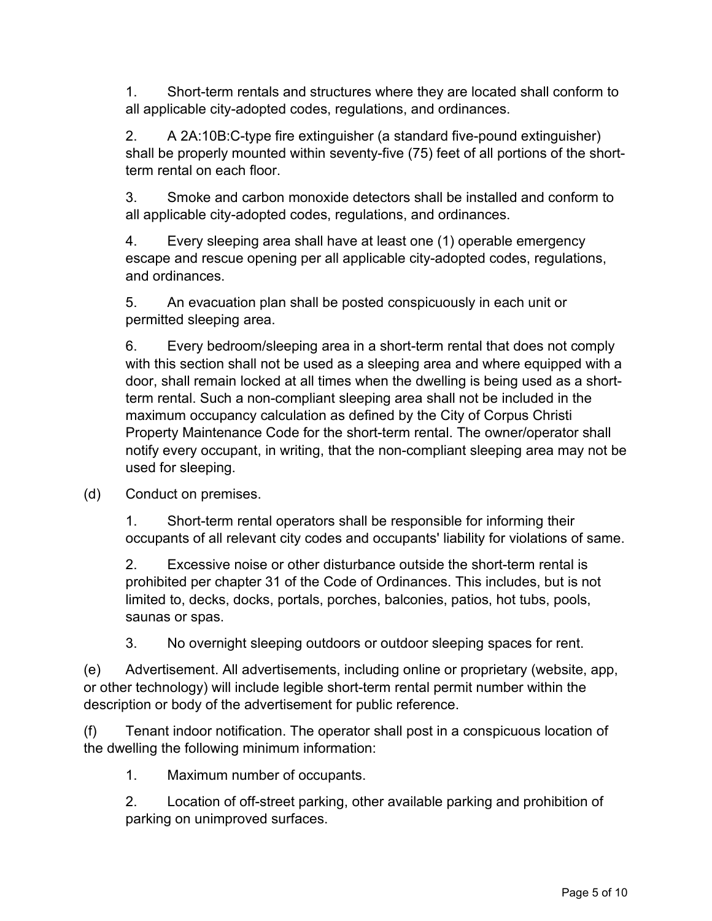1. Short-term rentals and structures where they are located shall conform to all applicable city-adopted codes, regulations, and ordinances.

2. A 2A:10B:C-type fire extinguisher (a standard five-pound extinguisher) shall be properly mounted within seventy-five (75) feet of all portions of the shortterm rental on each floor.

3. Smoke and carbon monoxide detectors shall be installed and conform to all applicable city-adopted codes, regulations, and ordinances.

4. Every sleeping area shall have at least one (1) operable emergency escape and rescue opening per all applicable city-adopted codes, regulations, and ordinances.

5. An evacuation plan shall be posted conspicuously in each unit or permitted sleeping area.

6. Every bedroom/sleeping area in a short-term rental that does not comply with this section shall not be used as a sleeping area and where equipped with a door, shall remain locked at all times when the dwelling is being used as a shortterm rental. Such a non-compliant sleeping area shall not be included in the maximum occupancy calculation as defined by the City of Corpus Christi Property Maintenance Code for the short-term rental. The owner/operator shall notify every occupant, in writing, that the non-compliant sleeping area may not be used for sleeping.

(d) Conduct on premises.

1. Short-term rental operators shall be responsible for informing their occupants of all relevant city codes and occupants' liability for violations of same.

2. Excessive noise or other disturbance outside the short-term rental is prohibited per chapter 31 of the Code of Ordinances. This includes, but is not limited to, decks, docks, portals, porches, balconies, patios, hot tubs, pools, saunas or spas.

3. No overnight sleeping outdoors or outdoor sleeping spaces for rent.

(e) Advertisement. All advertisements, including online or proprietary (website, app, or other technology) will include legible short-term rental permit number within the description or body of the advertisement for public reference.

(f) Tenant indoor notification. The operator shall post in a conspicuous location of the dwelling the following minimum information:

1. Maximum number of occupants.

2. Location of off-street parking, other available parking and prohibition of parking on unimproved surfaces.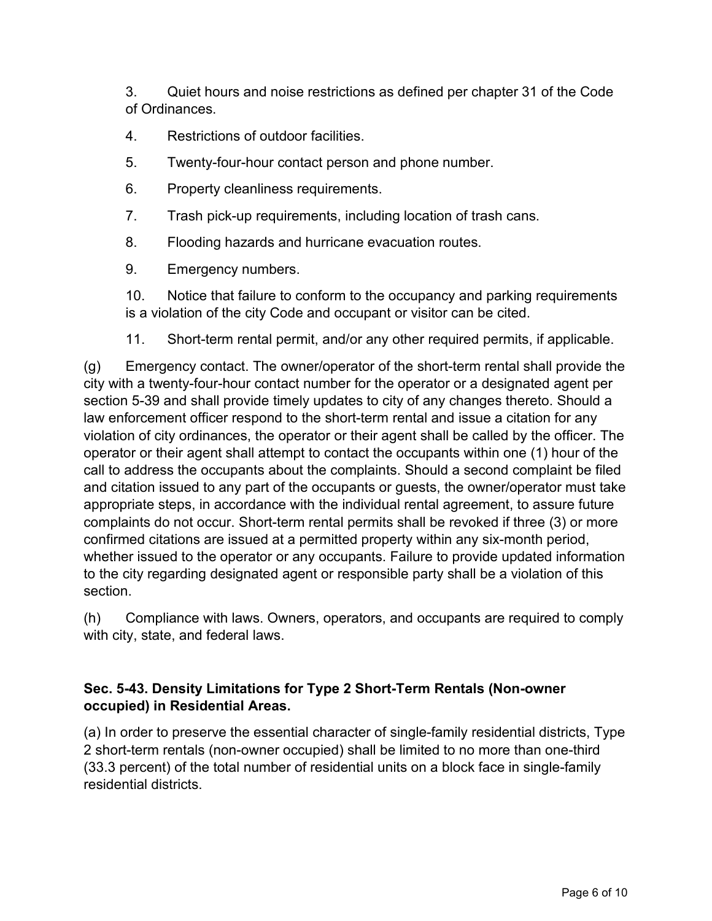3. Quiet hours and noise restrictions as defined per chapter 31 of the Code of Ordinances.

- 4. Restrictions of outdoor facilities.
- 5. Twenty-four-hour contact person and phone number.
- 6. Property cleanliness requirements.
- 7. Trash pick-up requirements, including location of trash cans.
- 8. Flooding hazards and hurricane evacuation routes.
- 9. Emergency numbers.

10. Notice that failure to conform to the occupancy and parking requirements is a violation of the city Code and occupant or visitor can be cited.

11. Short-term rental permit, and/or any other required permits, if applicable.

(g) Emergency contact. The owner/operator of the short-term rental shall provide the city with a twenty-four-hour contact number for the operator or a designated agent per section 5-39 and shall provide timely updates to city of any changes thereto. Should a law enforcement officer respond to the short-term rental and issue a citation for any violation of city ordinances, the operator or their agent shall be called by the officer. The operator or their agent shall attempt to contact the occupants within one (1) hour of the call to address the occupants about the complaints. Should a second complaint be filed and citation issued to any part of the occupants or guests, the owner/operator must take appropriate steps, in accordance with the individual rental agreement, to assure future complaints do not occur. Short-term rental permits shall be revoked if three (3) or more confirmed citations are issued at a permitted property within any six-month period, whether issued to the operator or any occupants. Failure to provide updated information to the city regarding designated agent or responsible party shall be a violation of this section.

(h) Compliance with laws. Owners, operators, and occupants are required to comply with city, state, and federal laws.

# **Sec. 5-43. Density Limitations for Type 2 Short-Term Rentals (Non-owner occupied) in Residential Areas.**

(a) In order to preserve the essential character of single-family residential districts, Type 2 short-term rentals (non-owner occupied) shall be limited to no more than one-third (33.3 percent) of the total number of residential units on a block face in single-family residential districts.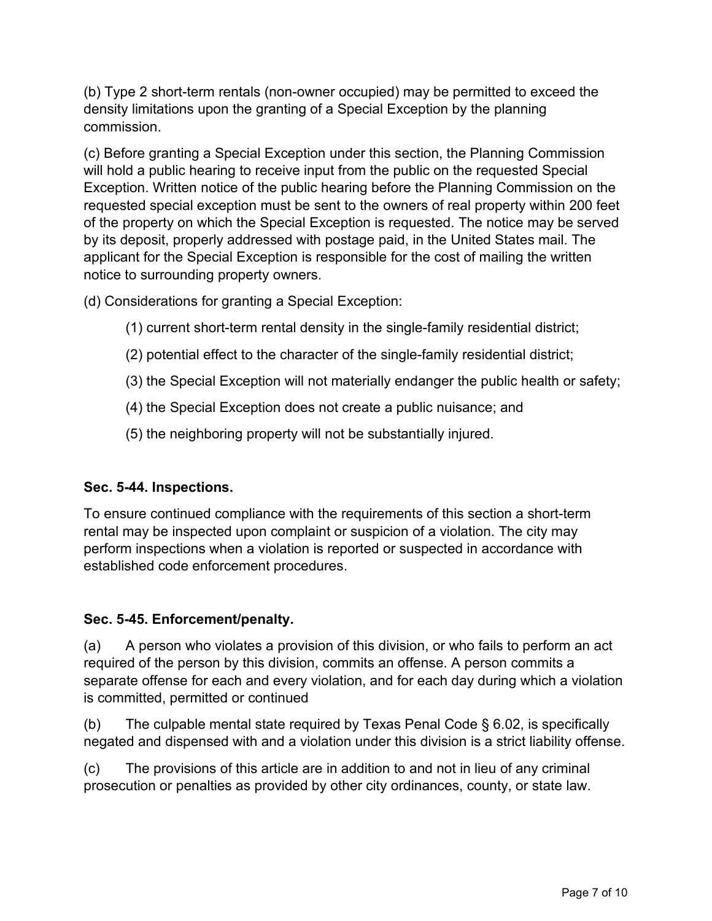(b) Type 2 short-term rentals (non-owner occupied) may be permitted to exceed the density limitations upon the granting of a Special Exception by the planning commission.

(c) Before granting a Special Exception under this section, the Planning Commission will hold a public hearing to receive input from the public on the requested Special Exception. Written notice of the public hearing before the Planning Commission on the requested special exception must be sent to the owners of real property within 200 feet of the property on which the Special Exception is requested. The notice may be served by its deposit, properly addressed with postage paid, in the United States mail. The applicant for the Special Exception is responsible for the cost of mailing the written notice to surrounding property owners.

(d) Considerations for granting a Special Exception:

- (1) current short-term rental density in the single-family residential district;
- (2) potential effect to the character of the single-family residential district;
- (3) the Special Exception will not materially endanger the public health or safety;
- (4) the Special Exception does not create a public nuisance; and
- (5) the neighboring property will not be substantially injured.

## **Sec. 5-44. Inspections.**

To ensure continued compliance with the requirements of this section a short-term rental may be inspected upon complaint or suspicion of a violation. The city may perform inspections when a violation is reported or suspected in accordance with established code enforcement procedures.

## **Sec. 5-45. Enforcement/penalty.**

(a) A person who violates a provision of this division, or who fails to perform an act required of the person by this division, commits an offense. A person commits a separate offense for each and every violation, and for each day during which a violation is committed, permitted or continued

(b) The culpable mental state required by Texas Penal Code  $\S$  6.02, is specifically negated and dispensed with and a violation under this division is a strict liability offense.

(c) The provisions of this article are in addition to and not in lieu of any criminal prosecution or penalties as provided by other city ordinances, county, or state law.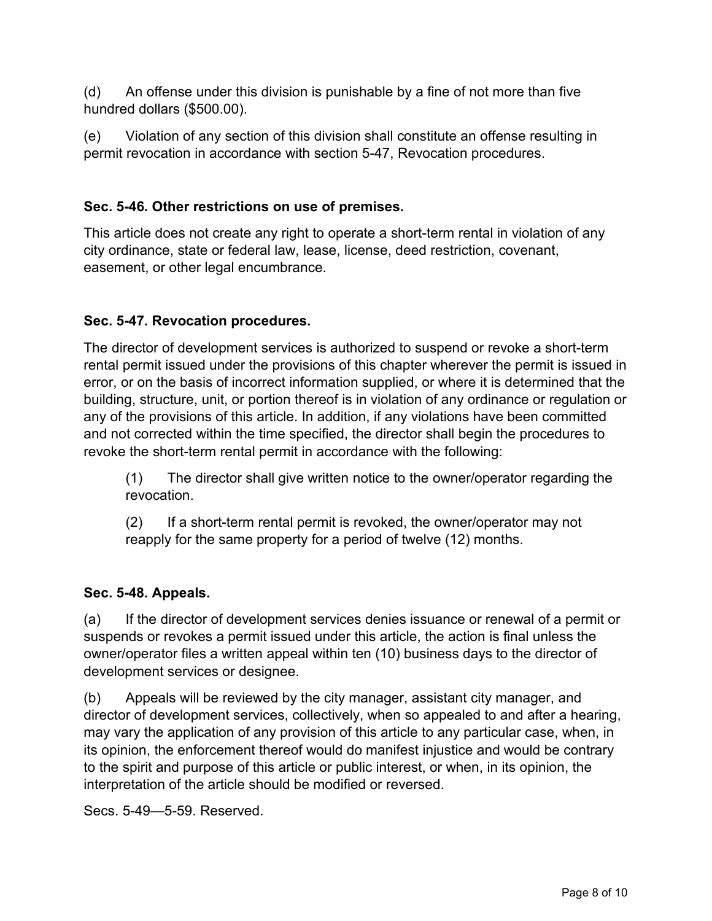(d) An offense under this division is punishable by a fine of not more than five hundred dollars (\$500.00).

(e) Violation of any section of this division shall constitute an offense resulting in permit revocation in accordance with section 5-47, Revocation procedures.

# **Sec. 5-46. Other restrictions on use of premises.**

This article does not create any right to operate a short-term rental in violation of any city ordinance, state or federal law, lease, license, deed restriction, covenant, easement, or other legal encumbrance.

# **Sec. 5-47. Revocation procedures.**

The director of development services is authorized to suspend or revoke a short-term rental permit issued under the provisions of this chapter wherever the permit is issued in error, or on the basis of incorrect information supplied, or where it is determined that the building, structure, unit, or portion thereof is in violation of any ordinance or regulation or any of the provisions of this article. In addition, if any violations have been committed and not corrected within the time specified, the director shall begin the procedures to revoke the short-term rental permit in accordance with the following:

(1) The director shall give written notice to the owner/operator regarding the revocation.

(2) If a short-term rental permit is revoked, the owner/operator may not reapply for the same property for a period of twelve (12) months.

## **Sec. 5-48. Appeals.**

(a) If the director of development services denies issuance or renewal of a permit or suspends or revokes a permit issued under this article, the action is final unless the owner/operator files a written appeal within ten (10) business days to the director of development services or designee.

(b) Appeals will be reviewed by the city manager, assistant city manager, and director of development services, collectively, when so appealed to and after a hearing, may vary the application of any provision of this article to any particular case, when, in its opinion, the enforcement thereof would do manifest injustice and would be contrary to the spirit and purpose of this article or public interest, or when, in its opinion, the interpretation of the article should be modified or reversed.

Secs. 5-49—5-59. Reserved.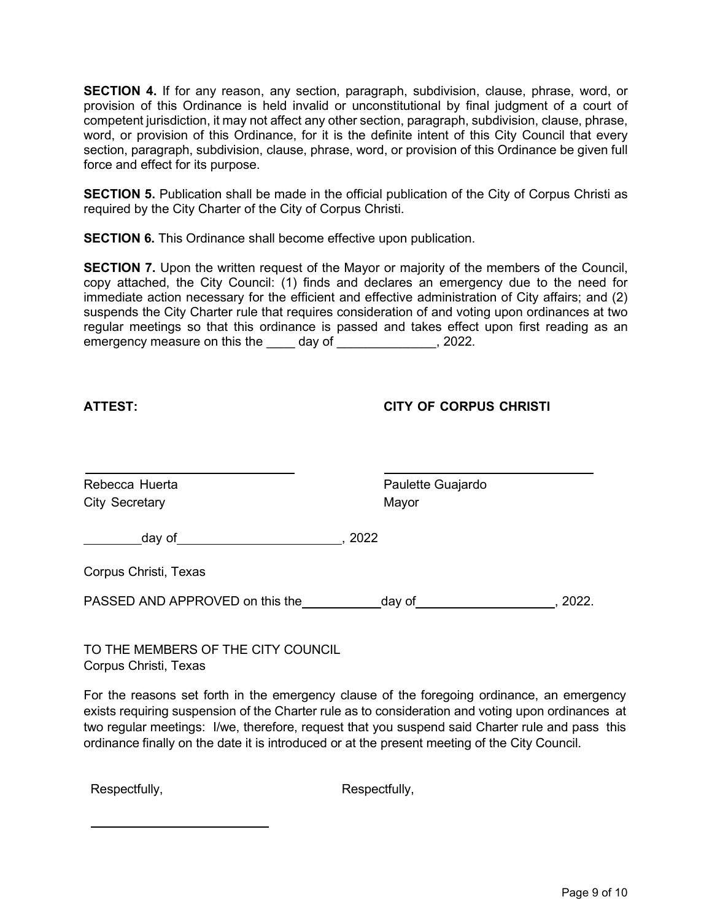**SECTION 4.** If for any reason, any section, paragraph, subdivision, clause, phrase, word, or provision of this Ordinance is held invalid or unconstitutional by final judgment of a court of competent jurisdiction, it may not affect any other section, paragraph, subdivision, clause, phrase, word, or provision of this Ordinance, for it is the definite intent of this City Council that every section, paragraph, subdivision, clause, phrase, word, or provision of this Ordinance be given full force and effect for its purpose.

**SECTION 5.** Publication shall be made in the official publication of the City of Corpus Christi as required by the City Charter of the City of Corpus Christi.

**SECTION 6.** This Ordinance shall become effective upon publication.

**SECTION 7.** Upon the written request of the Mayor or majority of the members of the Council, copy attached, the City Council: (1) finds and declares an emergency due to the need for immediate action necessary for the efficient and effective administration of City affairs; and (2) suspends the City Charter rule that requires consideration of and voting upon ordinances at two regular meetings so that this ordinance is passed and takes effect upon first reading as an emergency measure on this the day of the control of the second temperature of the second temperature of the second  $\sim$  2022.

#### **ATTEST: CITY OF CORPUS CHRISTI**

| Rebecca Huerta<br><b>City Secretary</b> | Paulette Guajardo<br>Mayor |       |
|-----------------------------------------|----------------------------|-------|
| day of                                  | 2022                       |       |
| Corpus Christi, Texas                   |                            |       |
| PASSED AND APPROVED on this the         | day of                     | 2022. |

TO THE MEMBERS OF THE CITY COUNCIL Corpus Christi, Texas

For the reasons set forth in the emergency clause of the foregoing ordinance, an emergency exists requiring suspension of the Charter rule as to consideration and voting upon ordinances at two regular meetings: I/we, therefore, request that you suspend said Charter rule and pass this ordinance finally on the date it is introduced or at the present meeting of the City Council.

Respectfully, Respectfully,